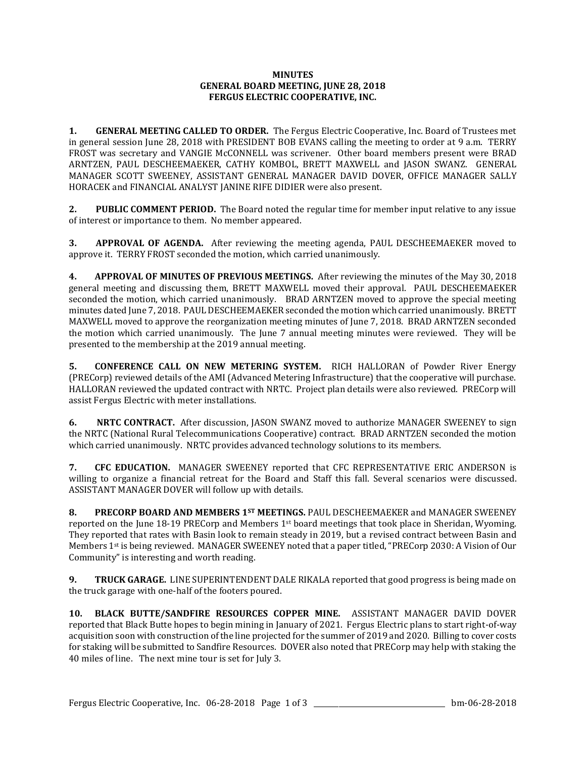## **MINUTES GENERAL BOARD MEETING, JUNE 28, 2018 FERGUS ELECTRIC COOPERATIVE, INC.**

**1. GENERAL MEETING CALLED TO ORDER.** The Fergus Electric Cooperative, Inc. Board of Trustees met in general session June 28, 2018 with PRESIDENT BOB EVANS calling the meeting to order at 9 a.m. TERRY FROST was secretary and VANGIE McCONNELL was scrivener. Other board members present were BRAD ARNTZEN, PAUL DESCHEEMAEKER, CATHY KOMBOL, BRETT MAXWELL and JASON SWANZ. GENERAL MANAGER SCOTT SWEENEY, ASSISTANT GENERAL MANAGER DAVID DOVER, OFFICE MANAGER SALLY HORACEK and FINANCIAL ANALYST JANINE RIFE DIDIER were also present.

**2. PUBLIC COMMENT PERIOD.** The Board noted the regular time for member input relative to any issue of interest or importance to them. No member appeared.

**3. APPROVAL OF AGENDA.** After reviewing the meeting agenda, PAUL DESCHEEMAEKER moved to approve it. TERRY FROST seconded the motion, which carried unanimously.

**4. APPROVAL OF MINUTES OF PREVIOUS MEETINGS.** After reviewing the minutes of the May 30, 2018 general meeting and discussing them, BRETT MAXWELL moved their approval. PAUL DESCHEEMAEKER seconded the motion, which carried unanimously. BRAD ARNTZEN moved to approve the special meeting minutes dated June 7, 2018. PAUL DESCHEEMAEKER seconded the motion which carried unanimously. BRETT MAXWELL moved to approve the reorganization meeting minutes of June 7, 2018. BRAD ARNTZEN seconded the motion which carried unanimously. The June 7 annual meeting minutes were reviewed. They will be presented to the membership at the 2019 annual meeting.

**5. CONFERENCE CALL ON NEW METERING SYSTEM.** RICH HALLORAN of Powder River Energy (PRECorp) reviewed details of the AMI (Advanced Metering Infrastructure) that the cooperative will purchase. HALLORAN reviewed the updated contract with NRTC. Project plan details were also reviewed. PRECorp will assist Fergus Electric with meter installations.

**6. NRTC CONTRACT.** After discussion, JASON SWANZ moved to authorize MANAGER SWEENEY to sign the NRTC (National Rural Telecommunications Cooperative) contract. BRAD ARNTZEN seconded the motion which carried unanimously. NRTC provides advanced technology solutions to its members.

**7. CFC EDUCATION.** MANAGER SWEENEY reported that CFC REPRESENTATIVE ERIC ANDERSON is willing to organize a financial retreat for the Board and Staff this fall. Several scenarios were discussed. ASSISTANT MANAGER DOVER will follow up with details.

**8. PRECORP BOARD AND MEMBERS 1ST MEETINGS.** PAUL DESCHEEMAEKER and MANAGER SWEENEY reported on the June 18-19 PRECorp and Members  $1<sup>st</sup>$  board meetings that took place in Sheridan, Wyoming. They reported that rates with Basin look to remain steady in 2019, but a revised contract between Basin and Members 1st is being reviewed. MANAGER SWEENEY noted that a paper titled, "PRECorp 2030: A Vision of Our Community" is interesting and worth reading.

**9. TRUCK GARAGE.** LINE SUPERINTENDENT DALE RIKALA reported that good progress is being made on the truck garage with one-half of the footers poured.

**10. BLACK BUTTE/SANDFIRE RESOURCES COPPER MINE.** ASSISTANT MANAGER DAVID DOVER reported that Black Butte hopes to begin mining in January of 2021. Fergus Electric plans to start right-of-way acquisition soon with construction of the line projected for the summer of 2019 and 2020. Billing to cover costs for staking will be submitted to Sandfire Resources. DOVER also noted that PRECorp may help with staking the 40 miles of line. The next mine tour is set for July 3.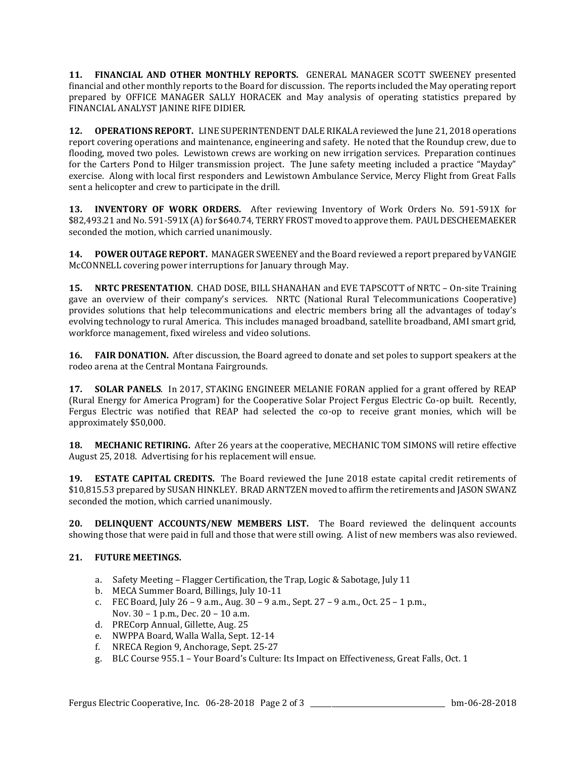**11. FINANCIAL AND OTHER MONTHLY REPORTS.** GENERAL MANAGER SCOTT SWEENEY presented financial and other monthly reports to the Board for discussion. The reports included the May operating report prepared by OFFICE MANAGER SALLY HORACEK and May analysis of operating statistics prepared by FINANCIAL ANALYST JANINE RIFE DIDIER.

**12. OPERATIONS REPORT.** LINE SUPERINTENDENT DALE RIKALA reviewed the June 21, 2018 operations report covering operations and maintenance, engineering and safety. He noted that the Roundup crew, due to flooding, moved two poles. Lewistown crews are working on new irrigation services. Preparation continues for the Carters Pond to Hilger transmission project. The June safety meeting included a practice "Mayday" exercise. Along with local first responders and Lewistown Ambulance Service, Mercy Flight from Great Falls sent a helicopter and crew to participate in the drill.

**13. INVENTORY OF WORK ORDERS.** After reviewing Inventory of Work Orders No. 591-591X for \$82,493.21 and No. 591-591X (A) for \$640.74, TERRY FROST moved to approve them. PAUL DESCHEEMAEKER seconded the motion, which carried unanimously.

**14. POWER OUTAGE REPORT.** MANAGER SWEENEY and the Board reviewed a report prepared by VANGIE McCONNELL covering power interruptions for January through May.

**15. NRTC PRESENTATION**. CHAD DOSE, BILL SHANAHAN and EVE TAPSCOTT of NRTC – On-site Training gave an overview of their company's services. NRTC (National Rural Telecommunications Cooperative) provides solutions that help telecommunications and electric members bring all the advantages of today's evolving technology to rural America. This includes managed broadband, satellite broadband, AMI smart grid, workforce management, fixed wireless and video solutions.

**16. FAIR DONATION.** After discussion, the Board agreed to donate and set poles to support speakers at the rodeo arena at the Central Montana Fairgrounds.

**17. SOLAR PANELS**. In 2017, STAKING ENGINEER MELANIE FORAN applied for a grant offered by REAP (Rural Energy for America Program) for the Cooperative Solar Project Fergus Electric Co-op built. Recently, Fergus Electric was notified that REAP had selected the co-op to receive grant monies, which will be approximately \$50,000.

**18. MECHANIC RETIRING.** After 26 years at the cooperative, MECHANIC TOM SIMONS will retire effective August 25, 2018. Advertising for his replacement will ensue.

**19. ESTATE CAPITAL CREDITS.** The Board reviewed the June 2018 estate capital credit retirements of \$10,815.53 prepared by SUSAN HINKLEY. BRAD ARNTZEN moved to affirm the retirements and JASON SWANZ seconded the motion, which carried unanimously.

**20. DELINQUENT ACCOUNTS/NEW MEMBERS LIST.** The Board reviewed the delinquent accounts showing those that were paid in full and those that were still owing. A list of new members was also reviewed.

## **21. FUTURE MEETINGS.**

- a. Safety Meeting Flagger Certification, the Trap, Logic & Sabotage, July 11
- b. MECA Summer Board, Billings, July 10-11
- c. FEC Board, July 26 9 a.m., Aug. 30 9 a.m., Sept. 27 9 a.m., Oct. 25 1 p.m., Nov. 30 – 1 p.m., Dec. 20 – 10 a.m.
- d. PRECorp Annual, Gillette, Aug. 25
- e. NWPPA Board, Walla Walla, Sept. 12-14
- f. NRECA Region 9, Anchorage, Sept. 25-27
- g. BLC Course 955.1 Your Board's Culture: Its Impact on Effectiveness, Great Falls, Oct. 1